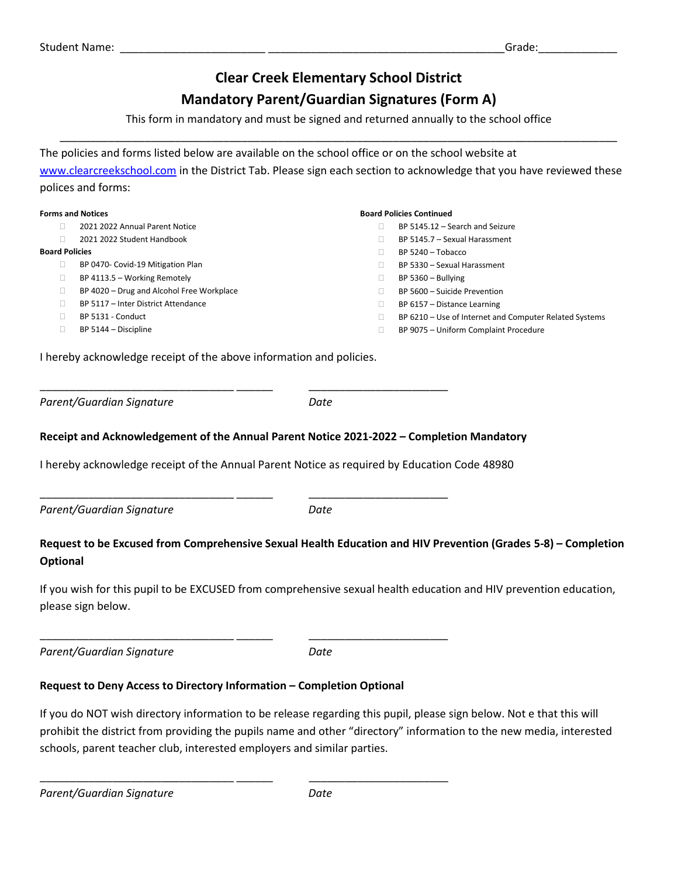# **Clear Creek Elementary School District**

## **Mandatory Parent/Guardian Signatures (Form A)**

This form in mandatory and must be signed and returned annually to the school office \_\_\_\_\_\_\_\_\_\_\_\_\_\_\_\_\_\_\_\_\_\_\_\_\_\_\_\_\_\_\_\_\_\_\_\_\_\_\_\_\_\_\_\_\_\_\_\_\_\_\_\_\_\_\_\_\_\_\_\_\_\_\_\_\_\_\_\_\_\_\_\_\_\_\_\_\_\_\_\_\_\_\_\_\_\_\_\_\_\_\_\_

The policies and forms listed below are available on the school office or on the school website at [www.clearcreekschool.com](http://www.clearcreekschool.com/) in the District Tab. Please sign each section to acknowledge that you have reviewed these polices and forms:

| <b>Forms and Notices</b> |                                           |   | <b>Board Policies Continued</b>                        |  |
|--------------------------|-------------------------------------------|---|--------------------------------------------------------|--|
|                          | 2021 2022 Annual Parent Notice            |   | BP 5145.12 - Search and Seizure                        |  |
|                          | 2021 2022 Student Handbook                |   | BP 5145.7 - Sexual Harassment                          |  |
| <b>Board Policies</b>    |                                           |   | BP 5240 - Tobacco                                      |  |
|                          | BP 0470- Covid-19 Mitigation Plan         |   | BP 5330 - Sexual Harassment                            |  |
|                          | BP 4113.5 - Working Remotely              |   | $BP 5360 - Bullying$                                   |  |
|                          | BP 4020 - Drug and Alcohol Free Workplace |   | BP 5600 - Suicide Prevention                           |  |
|                          | BP 5117 - Inter District Attendance       | ш | BP 6157 - Distance Learning                            |  |
|                          | BP 5131 - Conduct                         |   | BP 6210 - Use of Internet and Computer Related Systems |  |
|                          | BP 5144 - Discipline                      |   | BP 9075 - Uniform Complaint Procedure                  |  |

I hereby acknowledge receipt of the above information and policies.

\_\_\_\_\_\_\_\_\_\_\_\_\_\_\_\_\_\_\_\_\_\_\_\_\_\_\_\_\_\_\_\_ \_\_\_\_\_\_ \_\_\_\_\_\_\_\_\_\_\_\_\_\_\_\_\_\_\_\_\_\_\_

\_\_\_\_\_\_\_\_\_\_\_\_\_\_\_\_\_\_\_\_\_\_\_\_\_\_\_\_\_\_\_\_ \_\_\_\_\_\_ \_\_\_\_\_\_\_\_\_\_\_\_\_\_\_\_\_\_\_\_\_\_\_

\_\_\_\_\_\_\_\_\_\_\_\_\_\_\_\_\_\_\_\_\_\_\_\_\_\_\_\_\_\_\_\_ \_\_\_\_\_\_ \_\_\_\_\_\_\_\_\_\_\_\_\_\_\_\_\_\_\_\_\_\_\_

\_\_\_\_\_\_\_\_\_\_\_\_\_\_\_\_\_\_\_\_\_\_\_\_\_\_\_\_\_\_\_\_ \_\_\_\_\_\_ \_\_\_\_\_\_\_\_\_\_\_\_\_\_\_\_\_\_\_\_\_\_\_

*Parent/Guardian Signature Date* 

#### **Receipt and Acknowledgement of the Annual Parent Notice 2021-2022 – Completion Mandatory**

I hereby acknowledge receipt of the Annual Parent Notice as required by Education Code 48980

*Parent/Guardian Signature Date* 

### **Request to be Excused from Comprehensive Sexual Health Education and HIV Prevention (Grades 5-8) – Completion Optional**

If you wish for this pupil to be EXCUSED from comprehensive sexual health education and HIV prevention education, please sign below.

*Parent/Guardian Signature Date* 

## **Request to Deny Access to Directory Information – Completion Optional**

If you do NOT wish directory information to be release regarding this pupil, please sign below. Not e that this will prohibit the district from providing the pupils name and other "directory" information to the new media, interested schools, parent teacher club, interested employers and similar parties.

*Parent/Guardian Signature Date*